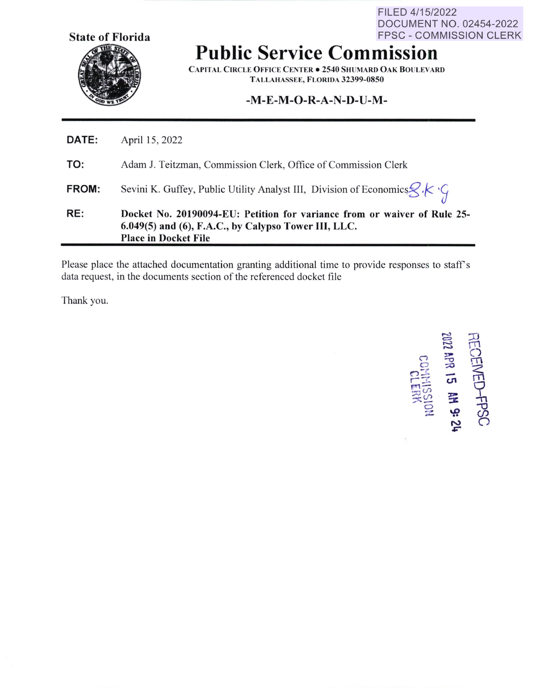**State of Florida** 

FILED 4/15/2022 DOCUMENT NO. 02454-2022 FPSC - COMMISSION CLERK

## **Public Service Commission**

**CAPITAL CIRCLE OFFICE CENTER . 2540 SHUMARD OAK BOULEVARD T ALLAIIASSEE, FLORIDA 32399-0850** 

## **-M-E-M-O-R-A-N-D-U-M-**

|              | <b>Place in Docket File</b>                                                                                                           |
|--------------|---------------------------------------------------------------------------------------------------------------------------------------|
| RE:          | Docket No. 20190094-EU: Petition for variance from or waiver of Rule 25-<br>$6.049(5)$ and $(6)$ , F.A.C., by Calypso Tower III, LLC. |
| <b>FROM:</b> | Sevini K. Guffey, Public Utility Analyst III, Division of Economics $\mathscr{L}\mathscr{K}\mathscr{G}$                               |
| TO:          | Adam J. Teitzman, Commission Clerk, Office of Commission Clerk                                                                        |
| <b>DATE:</b> | April 15, 2022                                                                                                                        |

Please place the attached documentation granting additional time to provide responses to staff's data request, in the documents section of the referenced docket file

Thank you.

í.

RECEIVED-FPSC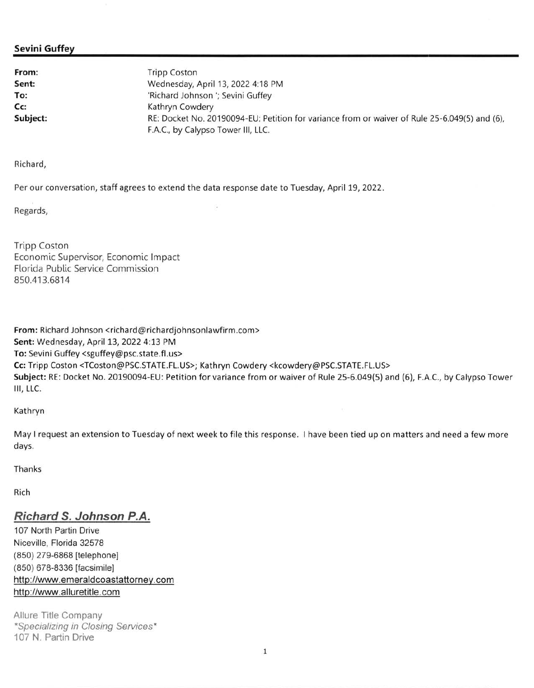## **Sevini Guffey**

**From:** Tripp Coston **Sent: To: Cc:**  Wednesday, April 13, 2022 4:18 PM 'Richard Johnson '; Sevini Guffey Kathryn Cowdery **Subject:** RE: Docket No. 20190094-EU: Petition for variance from or waiver of Rule 25-6.049(5) and (6), F.A.C., by Calypso Tower 111, LLC.

Richard,

Per our conversation, staff agrees to extend the data response date to Tuesday, April 19, 2022.

Regards,

Tripp Coston Economic Supervisor, Economic Impact Florida Public Service Commission 850.413.6814

**From:** Richard Johnson <richard@richardjohnsonlawfirm.com> **Sent:** Wednesday, April 13, 2022 4:13 PM **To:** Sevini Guffey <sguffey@psc.state.fl.us> **Cc:** Tripp Coston <TCoston@PSC.STATE.FL.US>; Kathryn Cowdery <kcowdery@PSC.STATE.FL.US> **Subject:** RE: Docket No. 20190094-EU: Petition for variance from or waiver of Rule 25-6.049(5) and (6), F.A.C., by Calypso Tower 111, LLC.

Kathryn

May I request an extension to Tuesday of next week to file this response. I have been tied up on matters and need a few more days.

Thanks

Rich

## **Richard S. Johnson P.A.**

107 North Partin Drive Niceville, Florida 32578 (850) 279-6868 [telephone) (850) 678-8336 [facsimile) http://www.emeraldcoastattorney.com http://www.alluretitle.com

Allure Title Company \*Specializing in Closing Services\* 107 **N.** Partin Drive